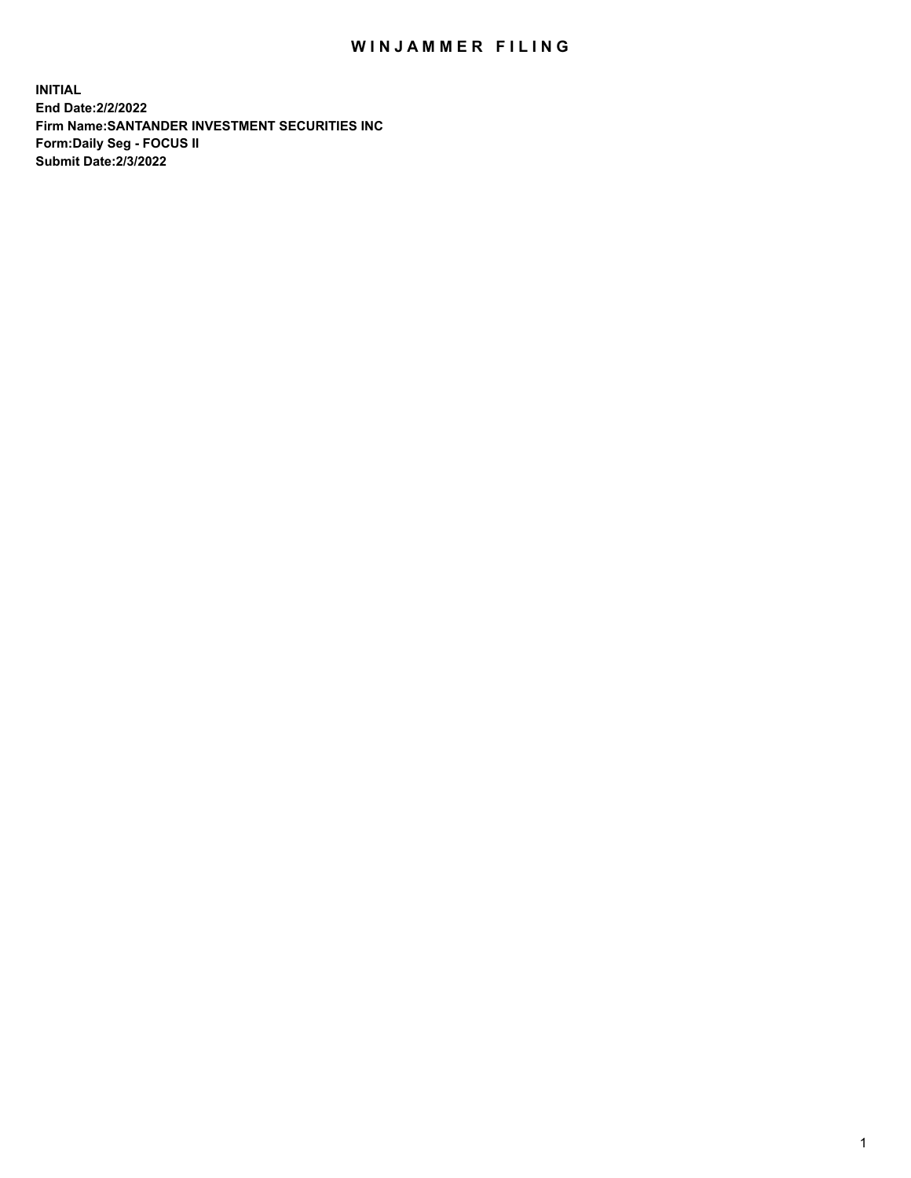## WIN JAMMER FILING

**INITIAL End Date:2/2/2022 Firm Name:SANTANDER INVESTMENT SECURITIES INC Form:Daily Seg - FOCUS II Submit Date:2/3/2022**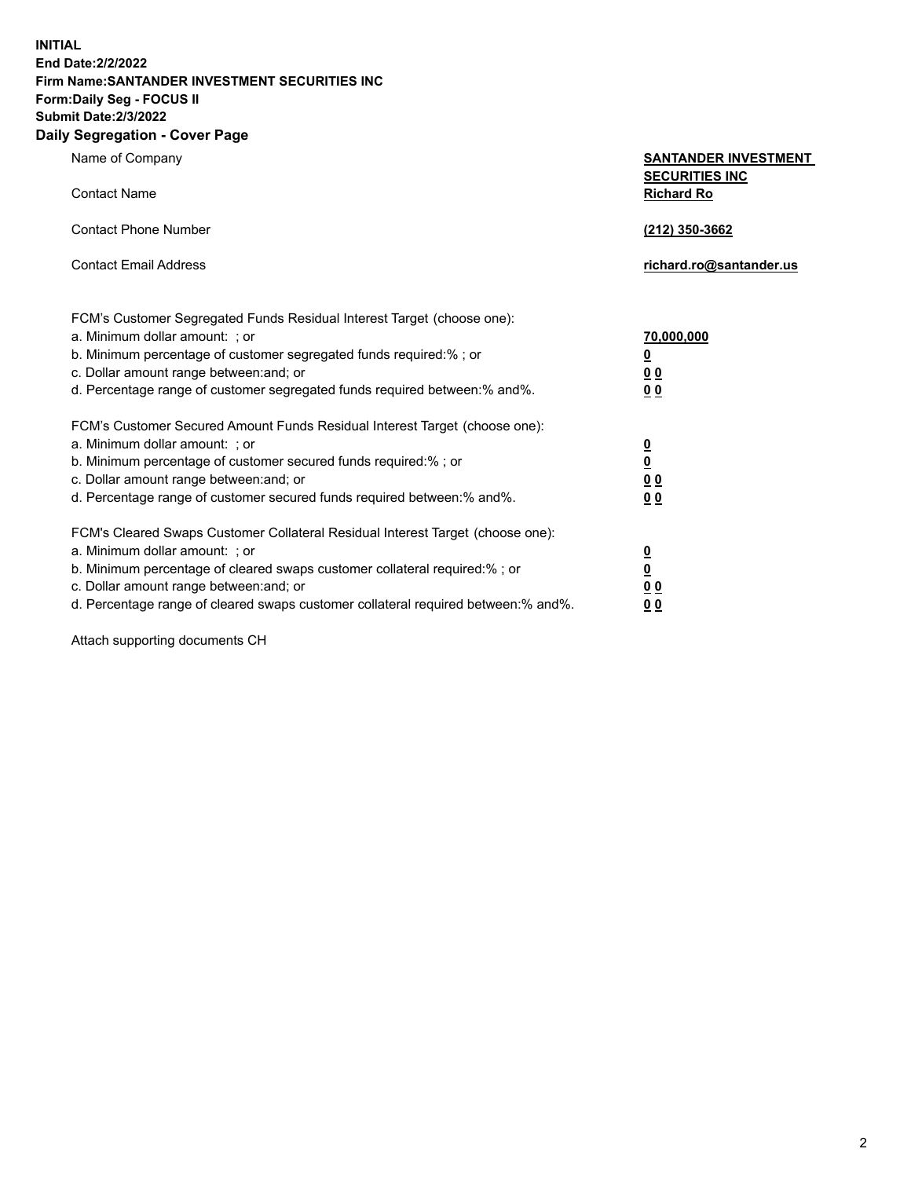**INITIAL End Date:2/2/2022 Firm Name:SANTANDER INVESTMENT SECURITIES INC Form:Daily Seg - FOCUS II Submit Date:2/3/2022**

## **Daily Segregation - Cover Page**

| Name of Company                                                             | <b>SANTANDER INVESTMENT</b> |
|-----------------------------------------------------------------------------|-----------------------------|
|                                                                             | <b>SECURITIES INC</b>       |
| <b>Contact Name</b>                                                         | <b>Richard Ro</b>           |
|                                                                             |                             |
| <b>Contact Phone Number</b>                                                 | (212) 350-3662              |
| <b>Contact Email Address</b>                                                | richard.ro@santander.us     |
|                                                                             |                             |
| FCM's Customer Segregated Funds Residual Interest Target (choose one):      |                             |
| a. Minimum dollar amount: ; or                                              | 70,000,000                  |
| b. Minimum percentage of customer segregated funds required:%; or           | $\overline{\mathbf{0}}$     |
| c. Dollar amount range between: and; or                                     | 00                          |
| d. Percentage range of customer segregated funds required between: % and %. | 0 <sub>0</sub>              |
| FCM's Customer Secured Amount Funds Residual Interest Target (choose one):  |                             |
| a. Minimum dollar amount: ; or                                              | <u>0</u>                    |
| b. Minimum percentage of customer secured funds required:%; or              | $\underline{\mathbf{0}}$    |
| c. Dollar amount range between: and; or                                     | 0 <sub>0</sub>              |
| d. Percentage range of customer secured funds required between: % and %.    | 0 <sub>0</sub>              |

FCM's Cleared Swaps Customer Collateral Residual Interest Target (choose one):

a. Minimum dollar amount: ; or **0**<br>b. Minimum percentage of cleared swaps customer collateral required:% ; or **0** b. Minimum percentage of cleared swaps customer collateral required:% ; or **0** c. Dollar amount range between:and; or **0 0** d. Percentage range of cleared swaps customer collateral required between:% and%. **0 0**

Attach supporting documents CH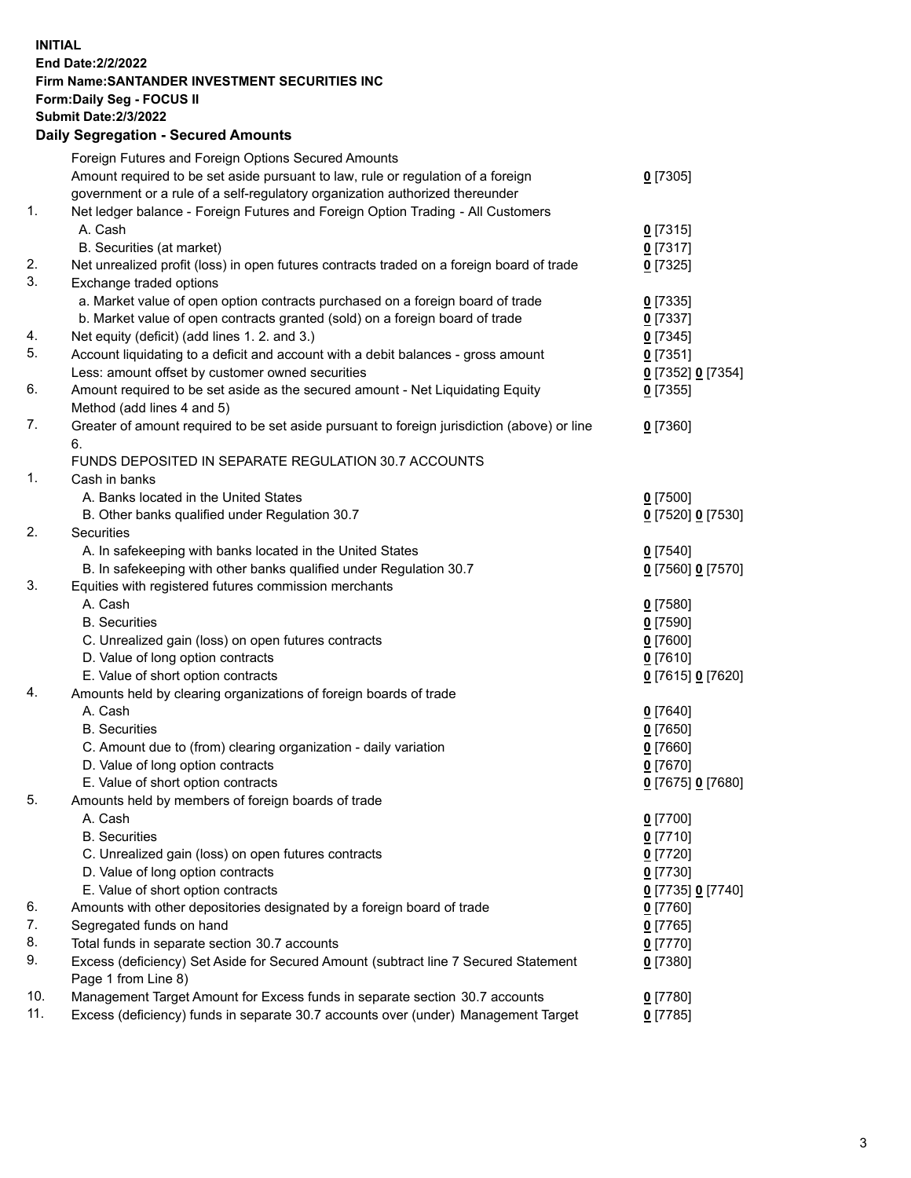## **INITIAL End Date:2/2/2022 Firm Name:SANTANDER INVESTMENT SECURITIES INC Form:Daily Seg - FOCUS II Submit Date:2/3/2022 Daily Segregation - Secured Amounts** Foreign Futures and Foreign Options Secured Amounts Amount required to be set aside pursuant to law, rule or regulation of a foreign government or a rule of a self-regulatory organization authorized thereunder **0** [7305] 1. Net ledger balance - Foreign Futures and Foreign Option Trading - All Customers A. Cash **0** [7315] B. Securities (at market) **0** [7317] 2. Net unrealized profit (loss) in open futures contracts traded on a foreign board of trade **0** [7325] 3. Exchange traded options a. Market value of open option contracts purchased on a foreign board of trade **0** [7335] b. Market value of open contracts granted (sold) on a foreign board of trade **0** [7337] 4. Net equity (deficit) (add lines 1. 2. and 3.) **0** [7345] 5. Account liquidating to a deficit and account with a debit balances - gross amount **0** [7351] Less: amount offset by customer owned securities **0** [7352] **0** [7354] 6. Amount required to be set aside as the secured amount - Net Liquidating Equity Method (add lines 4 and 5) **0** [7355] 7. Greater of amount required to be set aside pursuant to foreign jurisdiction (above) or line 6. **0** [7360] FUNDS DEPOSITED IN SEPARATE REGULATION 30.7 ACCOUNTS 1. Cash in banks A. Banks located in the United States **0** [7500] B. Other banks qualified under Regulation 30.7 **0** [7520] **0** [7530] 2. Securities A. In safekeeping with banks located in the United States **0** [7540] B. In safekeeping with other banks qualified under Regulation 30.7 **0** [7560] **0** [7570] 3. Equities with registered futures commission merchants A. Cash **0** [7580] B. Securities **0** [7590] C. Unrealized gain (loss) on open futures contracts **0** [7600] D. Value of long option contracts **0** [7610] E. Value of short option contracts **0** [7615] **0** [7620] 4. Amounts held by clearing organizations of foreign boards of trade A. Cash **0** [7640] B. Securities **0** [7650] C. Amount due to (from) clearing organization - daily variation **0** [7660] D. Value of long option contracts **0** [7670] E. Value of short option contracts **0** [7675] **0** [7680] 5. Amounts held by members of foreign boards of trade A. Cash **0** [7700] B. Securities **0** [7710] C. Unrealized gain (loss) on open futures contracts **0** [7720] D. Value of long option contracts **0** [7730] E. Value of short option contracts **0** [7735] **0** [7740] 6. Amounts with other depositories designated by a foreign board of trade **0** [7760]

7. Segregated funds on hand **0** [7765] 8. Total funds in separate section 30.7 accounts **0** [7770] 9. Excess (deficiency) Set Aside for Secured Amount (subtract line 7 Secured Statement Page 1 from Line 8)

10. Management Target Amount for Excess funds in separate section 30.7 accounts **0** [7780]

11. Excess (deficiency) funds in separate 30.7 accounts over (under) Management Target **0** [7785]

**0** [7380]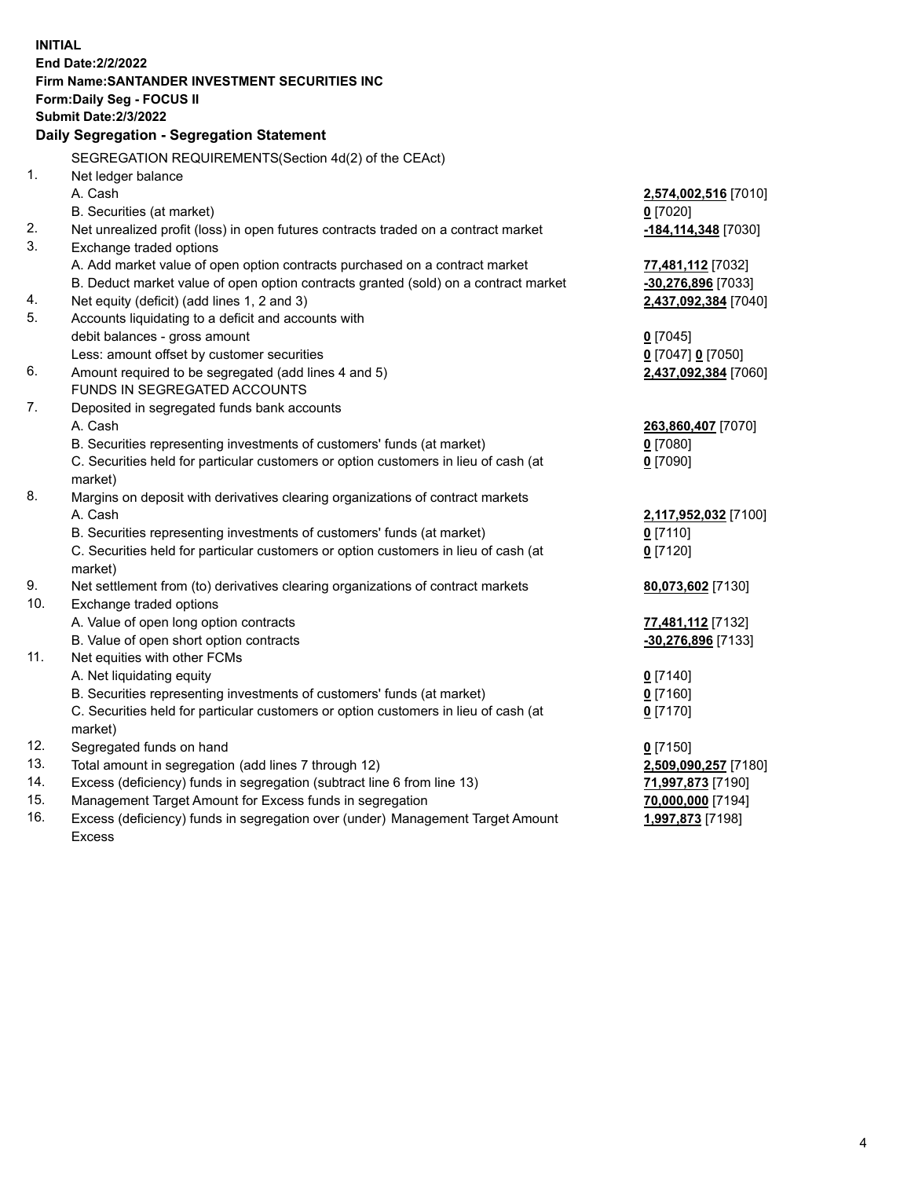| <b>INITIAL</b> | <b>End Date:2/2/2022</b>                                                                                                                                      |                                            |
|----------------|---------------------------------------------------------------------------------------------------------------------------------------------------------------|--------------------------------------------|
|                | <b>Firm Name: SANTANDER INVESTMENT SECURITIES INC</b>                                                                                                         |                                            |
|                | <b>Form:Daily Seg - FOCUS II</b>                                                                                                                              |                                            |
|                | <b>Submit Date: 2/3/2022</b>                                                                                                                                  |                                            |
|                | Daily Segregation - Segregation Statement                                                                                                                     |                                            |
|                | SEGREGATION REQUIREMENTS(Section 4d(2) of the CEAct)                                                                                                          |                                            |
| 1.             | Net ledger balance                                                                                                                                            |                                            |
|                | A. Cash                                                                                                                                                       | 2,574,002,516 [7010]                       |
|                | B. Securities (at market)                                                                                                                                     | $0$ [7020]                                 |
| 2.<br>3.       | Net unrealized profit (loss) in open futures contracts traded on a contract market                                                                            | -184,114,348 [7030]                        |
|                | Exchange traded options                                                                                                                                       |                                            |
|                | A. Add market value of open option contracts purchased on a contract market                                                                                   | 77,481,112 [7032]                          |
| 4.             | B. Deduct market value of open option contracts granted (sold) on a contract market<br>Net equity (deficit) (add lines 1, 2 and 3)                            | -30,276,896 [7033]<br>2,437,092,384 [7040] |
| 5.             | Accounts liquidating to a deficit and accounts with                                                                                                           |                                            |
|                | debit balances - gross amount                                                                                                                                 | $0$ [7045]                                 |
|                | Less: amount offset by customer securities                                                                                                                    | 0 [7047] 0 [7050]                          |
| 6.             | Amount required to be segregated (add lines 4 and 5)                                                                                                          | 2,437,092,384 [7060]                       |
|                | FUNDS IN SEGREGATED ACCOUNTS                                                                                                                                  |                                            |
| 7.             | Deposited in segregated funds bank accounts                                                                                                                   |                                            |
|                | A. Cash                                                                                                                                                       | 263,860,407 [7070]                         |
|                | B. Securities representing investments of customers' funds (at market)                                                                                        | $0$ [7080]                                 |
|                | C. Securities held for particular customers or option customers in lieu of cash (at                                                                           | $0$ [7090]                                 |
|                | market)                                                                                                                                                       |                                            |
| 8.             | Margins on deposit with derivatives clearing organizations of contract markets                                                                                |                                            |
|                | A. Cash                                                                                                                                                       | 2,117,952,032 [7100]                       |
|                | B. Securities representing investments of customers' funds (at market)                                                                                        | $0$ [7110]                                 |
|                | C. Securities held for particular customers or option customers in lieu of cash (at                                                                           | $0$ [7120]                                 |
|                | market)                                                                                                                                                       |                                            |
| 9.             | Net settlement from (to) derivatives clearing organizations of contract markets                                                                               | 80,073,602 [7130]                          |
| 10.            | Exchange traded options                                                                                                                                       |                                            |
|                | A. Value of open long option contracts                                                                                                                        | 77,481,112 [7132]                          |
|                | B. Value of open short option contracts                                                                                                                       | $-30,276,896$ [7133]                       |
| 11.            | Net equities with other FCMs                                                                                                                                  |                                            |
|                | A. Net liquidating equity                                                                                                                                     | $0$ [7140]<br>$0$ [7160]                   |
|                | B. Securities representing investments of customers' funds (at market)<br>C. Securities held for particular customers or option customers in lieu of cash (at | $0$ [7170]                                 |
|                | market)                                                                                                                                                       |                                            |
| 12.            | Segregated funds on hand                                                                                                                                      | $0$ [7150]                                 |
| 13.            | Total amount in segregation (add lines 7 through 12)                                                                                                          | 2,509,090,257 [7180]                       |
| 14.            | Excess (deficiency) funds in segregation (subtract line 6 from line 13)                                                                                       | 71,997,873 [7190]                          |
| 15.            | Management Target Amount for Excess funds in segregation                                                                                                      | 70,000,000 [7194]                          |
| 16.            | Excess (deficiency) funds in segregation over (under) Management Target Amount                                                                                | 1,997,873 [7198]                           |
|                | <b>Excess</b>                                                                                                                                                 |                                            |